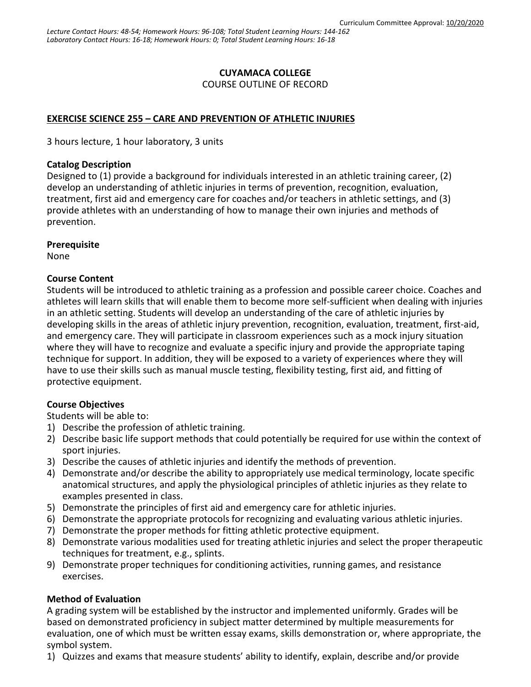# **CUYAMACA COLLEGE**

COURSE OUTLINE OF RECORD

# **EXERCISE SCIENCE 255 – CARE AND PREVENTION OF ATHLETIC INJURIES**

3 hours lecture, 1 hour laboratory, 3 units

### **Catalog Description**

Designed to (1) provide a background for individuals interested in an athletic training career, (2) develop an understanding of athletic injuries in terms of prevention, recognition, evaluation, treatment, first aid and emergency care for coaches and/or teachers in athletic settings, and (3) provide athletes with an understanding of how to manage their own injuries and methods of prevention.

### **Prerequisite**

None

# **Course Content**

Students will be introduced to athletic training as a profession and possible career choice. Coaches and athletes will learn skills that will enable them to become more self-sufficient when dealing with injuries in an athletic setting. Students will develop an understanding of the care of athletic injuries by developing skills in the areas of athletic injury prevention, recognition, evaluation, treatment, first-aid, and emergency care. They will participate in classroom experiences such as a mock injury situation where they will have to recognize and evaluate a specific injury and provide the appropriate taping technique for support. In addition, they will be exposed to a variety of experiences where they will have to use their skills such as manual muscle testing, flexibility testing, first aid, and fitting of protective equipment.

# **Course Objectives**

Students will be able to:

- 1) Describe the profession of athletic training.
- 2) Describe basic life support methods that could potentially be required for use within the context of sport injuries.
- 3) Describe the causes of athletic injuries and identify the methods of prevention.
- 4) Demonstrate and/or describe the ability to appropriately use medical terminology, locate specific anatomical structures, and apply the physiological principles of athletic injuries as they relate to examples presented in class.
- 5) Demonstrate the principles of first aid and emergency care for athletic injuries.
- 6) Demonstrate the appropriate protocols for recognizing and evaluating various athletic injuries.
- 7) Demonstrate the proper methods for fitting athletic protective equipment.
- 8) Demonstrate various modalities used for treating athletic injuries and select the proper therapeutic techniques for treatment, e.g., splints.
- 9) Demonstrate proper techniques for conditioning activities, running games, and resistance exercises.

# **Method of Evaluation**

A grading system will be established by the instructor and implemented uniformly. Grades will be based on demonstrated proficiency in subject matter determined by multiple measurements for evaluation, one of which must be written essay exams, skills demonstration or, where appropriate, the symbol system.

1) Quizzes and exams that measure students' ability to identify, explain, describe and/or provide